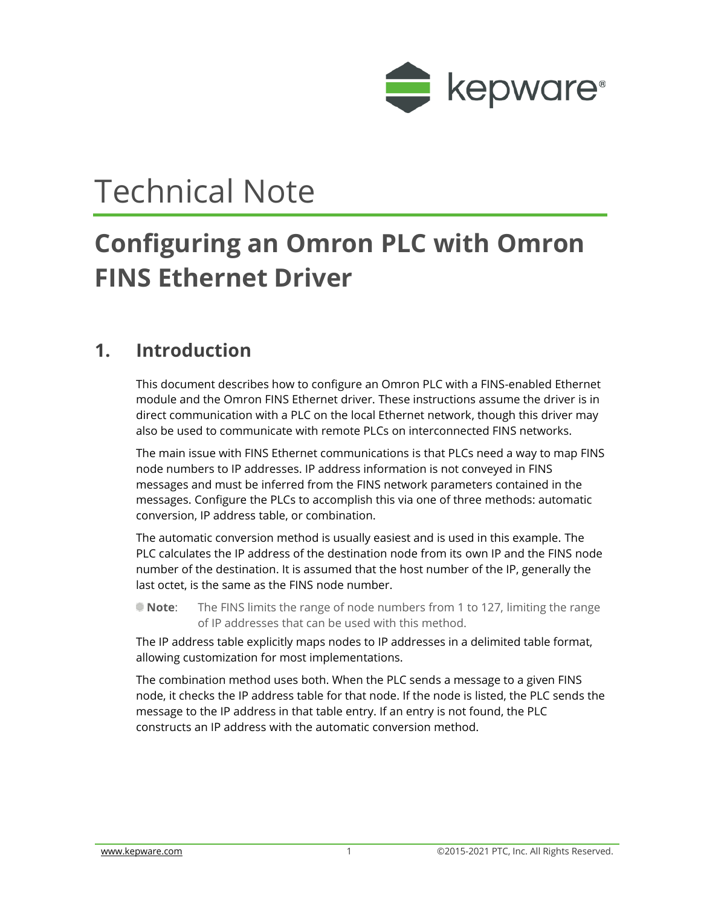

# Technical Note

## **Configuring an Omron PLC with Omron FINS Ethernet Driver**

## **1. Introduction**

This document describes how to configure an Omron PLC with a FINS-enabled Ethernet module and the Omron FINS Ethernet driver. These instructions assume the driver is in direct communication with a PLC on the local Ethernet network, though this driver may also be used to communicate with remote PLCs on interconnected FINS networks.

The main issue with FINS Ethernet communications is that PLCs need a way to map FINS node numbers to IP addresses. IP address information is not conveyed in FINS messages and must be inferred from the FINS network parameters contained in the messages. Configure the PLCs to accomplish this via one of three methods: automatic conversion, IP address table, or combination.

The automatic conversion method is usually easiest and is used in this example. The PLC calculates the IP address of the destination node from its own IP and the FINS node number of the destination. It is assumed that the host number of the IP, generally the last octet, is the same as the FINS node number.

**Note**: The FINS limits the range of node numbers from 1 to 127, limiting the range of IP addresses that can be used with this method.

The IP address table explicitly maps nodes to IP addresses in a delimited table format, allowing customization for most implementations.

The combination method uses both. When the PLC sends a message to a given FINS node, it checks the IP address table for that node. If the node is listed, the PLC sends the message to the IP address in that table entry. If an entry is not found, the PLC constructs an IP address with the automatic conversion method.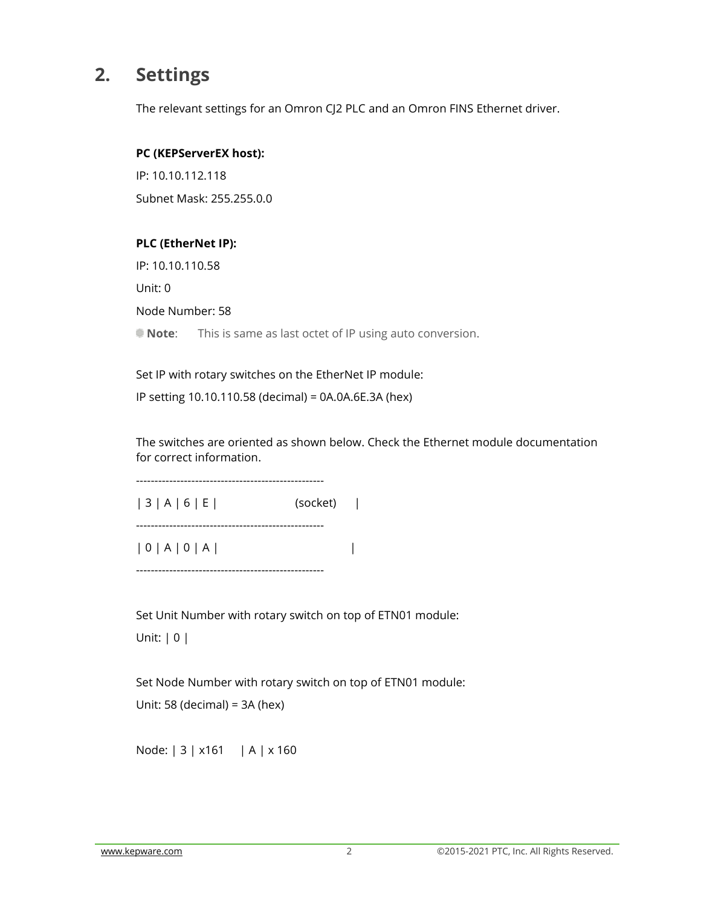## **2. Settings**

The relevant settings for an Omron CJ2 PLC and an Omron FINS Ethernet driver.

#### **PC (KEPServerEX host):**

IP: 10.10.112.118 Subnet Mask: 255.255.0.0

#### **PLC (EtherNet IP):**

IP: 10.10.110.58

Unit: 0

Node Number: 58

**Note:** This is same as last octet of IP using auto conversion.

Set IP with rotary switches on the EtherNet IP module: IP setting 10.10.110.58 (decimal) = 0A.0A.6E.3A (hex)

The switches are oriented as shown below. Check the Ethernet module documentation for correct information.

| 3 | A | 6 | E | (socket) |

---------------------------------------------------

---------------------------------------------------

| 0 | A | 0 | A | |

---------------------------------------------------

Set Unit Number with rotary switch on top of ETN01 module: Unit: | 0 |

Set Node Number with rotary switch on top of ETN01 module:

Unit: 58 (decimal) = 3A (hex)

Node: | 3 | x161 | A | x 160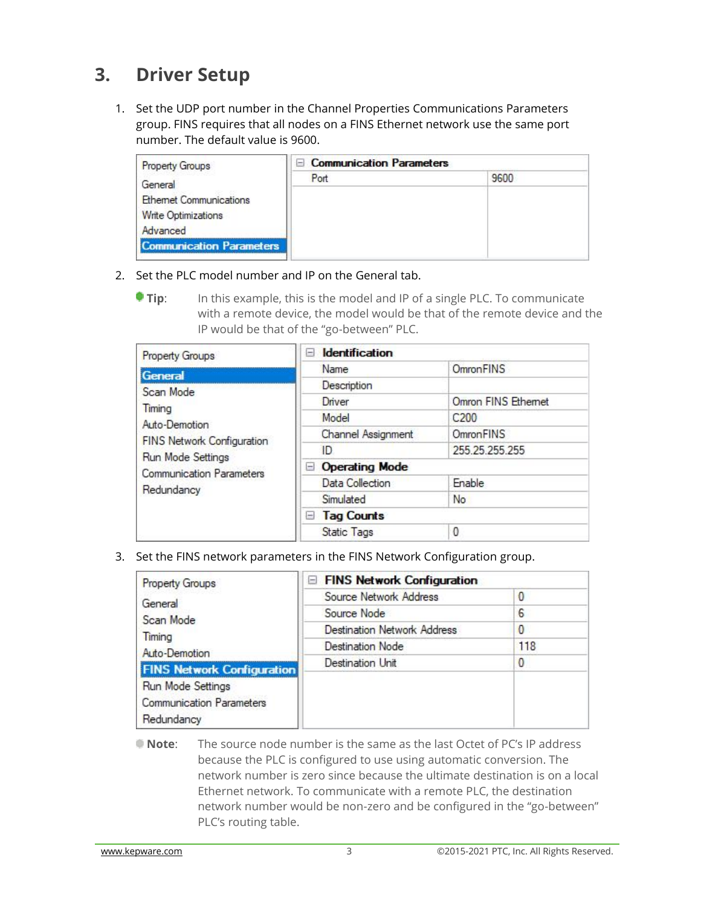## **3. Driver Setup**

1. Set the UDP port number in the Channel Properties Communications Parameters group. FINS requires that all nodes on a FINS Ethernet network use the same port number. The default value is 9600.

| <b>Property Groups</b>          | <b>E</b> Communication Parameters |      |  |
|---------------------------------|-----------------------------------|------|--|
| General                         | Port                              | 9600 |  |
| <b>Ethemet Communications</b>   |                                   |      |  |
| Write Optimizations             |                                   |      |  |
| Advanced                        |                                   |      |  |
| <b>Communication Parameters</b> |                                   |      |  |

- 2. Set the PLC model number and IP on the General tab.
	- **Tip:** In this example, this is the model and IP of a single PLC. To communicate with a remote device, the model would be that of the remote device and the IP would be that of the "go-between" PLC.

| <b>Property Groups</b>                                                                                                                          | <b>Identification</b><br>Е   |                     |  |
|-------------------------------------------------------------------------------------------------------------------------------------------------|------------------------------|---------------------|--|
| General                                                                                                                                         | Name                         | <b>OmronFINS</b>    |  |
| Scan Mode<br>Timina<br>Auto-Demotion<br><b>FINS Network Configuration</b><br>Run Mode Settings<br><b>Communication Parameters</b><br>Redundancy | Description                  |                     |  |
|                                                                                                                                                 | Driver                       | Omron FINS Ethernet |  |
|                                                                                                                                                 | Model                        | C200                |  |
|                                                                                                                                                 | <b>Channel Assignment</b>    | OmronFINS           |  |
|                                                                                                                                                 | ID                           | 255.25.255.255      |  |
|                                                                                                                                                 | <b>Operating Mode</b><br>$=$ |                     |  |
|                                                                                                                                                 | Data Collection              | Enable              |  |
|                                                                                                                                                 | Simulated                    | No                  |  |
|                                                                                                                                                 | <b>Tag Counts</b><br>$=$     |                     |  |
|                                                                                                                                                 | <b>Static Tags</b>           | 0                   |  |

3. Set the FINS network parameters in the FINS Network Configuration group.

| <b>Property Groups</b>            | FINS Network Configuration         |     |
|-----------------------------------|------------------------------------|-----|
| General                           | Source Network Address             | 0   |
| Scan Mode                         | Source Node                        | 6   |
| Timing                            | <b>Destination Network Address</b> | 0   |
| Auto-Demotion                     | <b>Destination Node</b>            | 118 |
| <b>FINS Network Configuration</b> | <b>Destination Unit</b>            | 0   |
| Run Mode Settings                 |                                    |     |
| <b>Communication Parameters</b>   |                                    |     |
| Redundancy                        |                                    |     |

**Note**: The source node number is the same as the last Octet of PC's IP address because the PLC is configured to use using automatic conversion. The network number is zero since because the ultimate destination is on a local Ethernet network. To communicate with a remote PLC, the destination network number would be non-zero and be configured in the "go-between" PLC's routing table.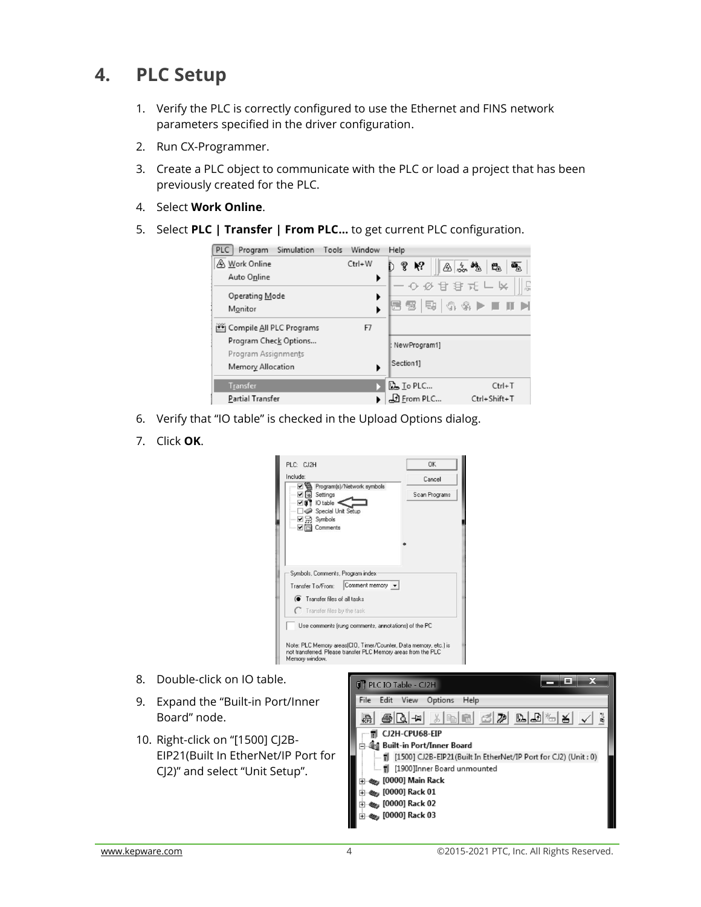## **4. PLC Setup**

- 1. Verify the PLC is correctly configured to use the Ethernet and FINS network parameters specified in the driver configuration.
- 2. Run CX-Programmer.
- 3. Create a PLC object to communicate with the PLC or load a project that has been previously created for the PLC.
- 4. Select **Work Online**.
- 5. Select **PLC | Transfer | From PLC…** to get current PLC configuration.



- 6. Verify that "IO table" is checked in the Upload Options dialog.
- 7. Click **OK**.

| Include:                                                                                                                                                                                                         | Cancel        |
|------------------------------------------------------------------------------------------------------------------------------------------------------------------------------------------------------------------|---------------|
| Program(s)/Network symbols<br>$\triangleright$ $\triangleright$ Settings<br>$\nabla$ $\mathbf{0}$ $\mathbf{1}$ IO table<br>Special Unit Setup<br>$-\sqrt{2}$ Symbols<br>$\triangledown$ $\triangledown$ Comments | Scan Programs |
| Symbols, Comments, Program index<br>Comment memory v<br>Transfer To/From:                                                                                                                                        |               |
| <b>C</b> Transfer files of all tasks<br>Transfer files by the task                                                                                                                                               |               |
| Use comments frung comments, annotations) of the PC                                                                                                                                                              |               |
|                                                                                                                                                                                                                  |               |

- 8. Double-click on IO table.
- 9. Expand the "Built-in Port/Inner Board" node.
- 10. Right-click on "[1500] CJ2B-EIP21(Built In EtherNet/IP Port for CJ2)" and select "Unit Setup".